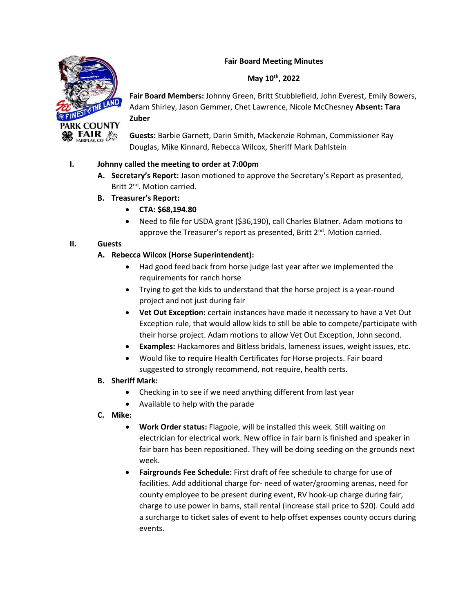## **Fair Board Meeting Minutes**

## **May 10th, 2022**



**Fair Board Members:** Johnny Green, Britt Stubblefield, John Everest, Emily Bowers, Adam Shirley, Jason Gemmer, Chet Lawrence, Nicole McChesney **Absent: Tara Zuber**

**Guests:** Barbie Garnett, Darin Smith, Mackenzie Rohman, Commissioner Ray Douglas, Mike Kinnard, Rebecca Wilcox, Sheriff Mark Dahlstein

# **I. Johnny called the meeting to order at 7:00pm**

- **A. Secretary's Report:** Jason motioned to approve the Secretary's Report as presented, Britt 2<sup>nd</sup>. Motion carried.
- **B. Treasurer's Report:** 
	- **CTA: \$68,194.80**
	- Need to file for USDA grant (\$36,190), call Charles Blatner. Adam motions to approve the Treasurer's report as presented, Britt  $2<sup>nd</sup>$ . Motion carried.

# **II. Guests**

## **A. Rebecca Wilcox (Horse Superintendent):**

- Had good feed back from horse judge last year after we implemented the requirements for ranch horse
- Trying to get the kids to understand that the horse project is a year-round project and not just during fair
- **Vet Out Exception:** certain instances have made it necessary to have a Vet Out Exception rule, that would allow kids to still be able to compete/participate with their horse project. Adam motions to allow Vet Out Exception, John second.
- **Examples:** Hackamores and Bitless bridals, lameness issues, weight issues, etc.
- Would like to require Health Certificates for Horse projects. Fair board suggested to strongly recommend, not require, health certs.

#### **B. Sheriff Mark:**

- Checking in to see if we need anything different from last year
- Available to help with the parade
- **C. Mike:** 
	- **Work Order status:** Flagpole, will be installed this week. Still waiting on electrician for electrical work. New office in fair barn is finished and speaker in fair barn has been repositioned. They will be doing seeding on the grounds next week.
	- **Fairgrounds Fee Schedule:** First draft of fee schedule to charge for use of facilities. Add additional charge for- need of water/grooming arenas, need for county employee to be present during event, RV hook-up charge during fair, charge to use power in barns, stall rental (increase stall price to \$20). Could add a surcharge to ticket sales of event to help offset expenses county occurs during events.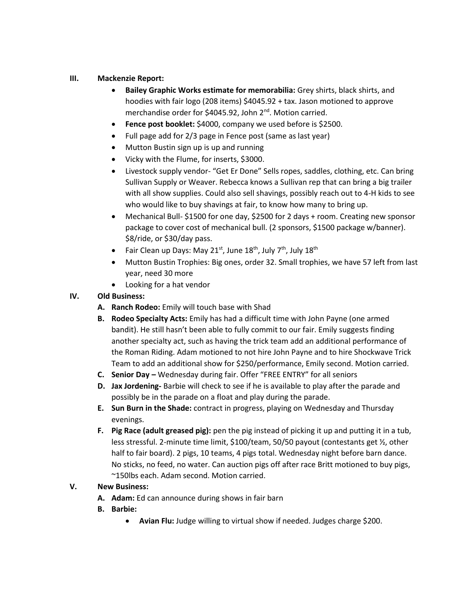## **III. Mackenzie Report:**

- **Bailey Graphic Works estimate for memorabilia:** Grey shirts, black shirts, and hoodies with fair logo (208 items) \$4045.92 + tax. Jason motioned to approve merchandise order for \$4045.92, John 2<sup>nd</sup>. Motion carried.
- **Fence post booklet:** \$4000, company we used before is \$2500.
- Full page add for 2/3 page in Fence post (same as last year)
- Mutton Bustin sign up is up and running
- Vicky with the Flume, for inserts, \$3000.
- Livestock supply vendor- "Get Er Done" Sells ropes, saddles, clothing, etc. Can bring Sullivan Supply or Weaver. Rebecca knows a Sullivan rep that can bring a big trailer with all show supplies. Could also sell shavings, possibly reach out to 4-H kids to see who would like to buy shavings at fair, to know how many to bring up.
- Mechanical Bull- \$1500 for one day, \$2500 for 2 days + room. Creating new sponsor package to cover cost of mechanical bull. (2 sponsors, \$1500 package w/banner). \$8/ride, or \$30/day pass.
- Fair Clean up Days: May 21<sup>st</sup>, June 18<sup>th</sup>, July 7<sup>th</sup>, July 18<sup>th</sup>
- Mutton Bustin Trophies: Big ones, order 32. Small trophies, we have 57 left from last year, need 30 more
- Looking for a hat vendor

# **IV. Old Business:**

- **A. Ranch Rodeo:** Emily will touch base with Shad
- **B. Rodeo Specialty Acts:** Emily has had a difficult time with John Payne (one armed bandit). He still hasn't been able to fully commit to our fair. Emily suggests finding another specialty act, such as having the trick team add an additional performance of the Roman Riding. Adam motioned to not hire John Payne and to hire Shockwave Trick Team to add an additional show for \$250/performance, Emily second. Motion carried.
- **C. Senior Day –** Wednesday during fair. Offer "FREE ENTRY" for all seniors
- **D. Jax Jordening-** Barbie will check to see if he is available to play after the parade and possibly be in the parade on a float and play during the parade.
- **E. Sun Burn in the Shade:** contract in progress, playing on Wednesday and Thursday evenings.
- **F. Pig Race (adult greased pig):** pen the pig instead of picking it up and putting it in a tub, less stressful. 2-minute time limit, \$100/team, 50/50 payout (contestants get ½, other half to fair board). 2 pigs, 10 teams, 4 pigs total. Wednesday night before barn dance. No sticks, no feed, no water. Can auction pigs off after race Britt motioned to buy pigs, ~150lbs each. Adam second. Motion carried.

## **V. New Business:**

- **A. Adam:** Ed can announce during shows in fair barn
- **B. Barbie:** 
	- **Avian Flu:** Judge willing to virtual show if needed. Judges charge \$200.